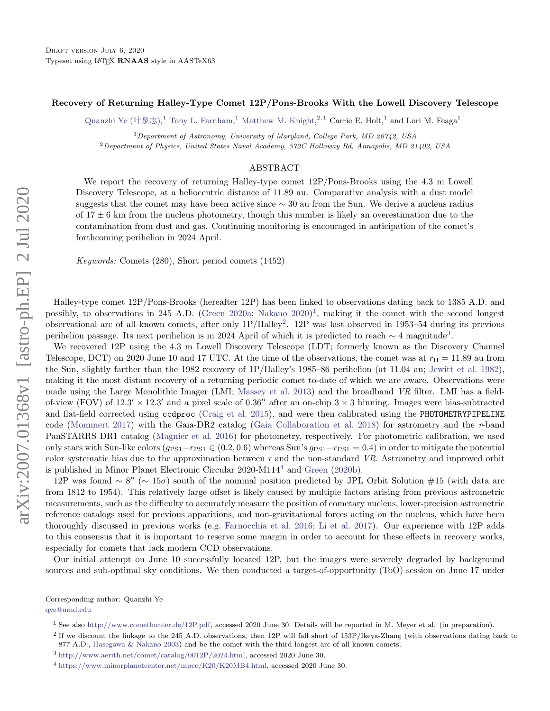## Recovery of Returning Halley-Type Comet 12P/Pons-Brooks With the Lowell Discovery Telescope

[Quanzhi Ye \(](http://orcid.org/0000-0002-4838-7676)叶泉志),<sup>1</sup> [Tony L. Farnham,](http://orcid.org/0000-0002-4767-9861)<sup>1</sup> [Matthew M. Knight,](http://orcid.org/0000-0003-2781-6897)<sup>2,1</sup> Carrie E. Holt,<sup>1</sup> and Lori M. Feaga<sup>1</sup>

<sup>1</sup>Department of Astronomy, University of Maryland, College Park, MD 20742, USA <sup>2</sup>Department of Physics, United States Naval Academy, 572C Holloway Rd, Annapolis, MD 21402, USA

## ABSTRACT

We report the recovery of returning Halley-type comet 12P/Pons-Brooks using the 4.3 m Lowell Discovery Telescope, at a heliocentric distance of 11.89 au. Comparative analysis with a dust model suggests that the comet may have been active since  $\sim$  30 au from the Sun. We derive a nucleus radius of  $17 \pm 6$  km from the nucleus photometry, though this number is likely an overestimation due to the contamination from dust and gas. Continuing monitoring is encouraged in anticipation of the comet's forthcoming perihelion in 2024 April.

Keywords: Comets (280), Short period comets (1452)

Halley-type comet 12P/Pons-Brooks (hereafter 12P) has been linked to observations dating back to 1385 A.D. and possibly, to observations in 245 A.D. [\(Green](#page-2-0) [2020a;](#page-2-0) [Nakano](#page-2-1) [2020\)](#page-2-1) [1](#page-0-2) , making it the comet with the second longest observational arc of all known comets, after only  $1P/H\text{alley}^2$  $1P/H\text{alley}^2$ . 12P was last observed in 1953–54 during its previous perihelion passage. Its next perihelion is in 2024 April of which it is predicted to reach  $\sim 4$  magnitude<sup>[3](#page-0-4)</sup>.

We recovered 12P using the 4.3 m Lowell Discovery Telescope (LDT; formerly known as the Discovery Channel Telescope, DCT) on 2020 June 10 and 17 UTC. At the time of the observations, the comet was at  $r_H = 11.89$  au from the Sun, slightly farther than the 1982 recovery of 1P/Halley's 1985–86 perihelion (at 11.04 au; [Jewitt et al.](#page-2-2) [1982\)](#page-2-2), making it the most distant recovery of a returning periodic comet to-date of which we are aware. Observations were made using the Large Monolithic Imager (LMI; [Massey et al.](#page-2-3) [2013\)](#page-2-3) and the broadband VR filter. LMI has a fieldof-view (FOV) of  $12.3' \times 12.3'$  and a pixel scale of  $0.36''$  after an on-chip  $3 \times 3$  binning. Images were bias-subtracted and flat-field corrected using ccdproc [\(Craig et al.](#page-2-4) [2015\)](#page-2-4), and were then calibrated using the PHOTOMETRYPIPELINE code [\(Mommert](#page-2-5) [2017\)](#page-2-5) with the Gaia-DR2 catalog [\(Gaia Collaboration et al.](#page-2-6) [2018\)](#page-2-6) for astrometry and the r-band PanSTARRS DR1 catalog [\(Magnier et al.](#page-2-7) [2016\)](#page-2-7) for photometry, respectively. For photometric calibration, we used only stars with Sun-like colors  $(g_{PS1}-r_{PS1} \in (0.2, 0.6)$  whereas Sun's  $g_{PS1}-r_{PS1} = 0.4$ ) in order to mitigate the potential color systematic bias due to the approximation between  $r$  and the non-standard VR. Astrometry and improved orbit is published in Minor Planet Electronic Circular 2020-M114[4](#page-0-5) and [Green](#page-2-8) [\(2020b\)](#page-2-8).

12P was found ~ 8" (~ 15 $\sigma$ ) south of the nominal position predicted by JPL Orbit Solution #15 (with data arc from 1812 to 1954). This relatively large offset is likely caused by multiple factors arising from previous astrometric measurements, such as the difficulty to accurately measure the position of cometary nucleus, lower-precision astrometric reference catalogs used for previous apparitions, and non-gravitational forces acting on the nucleus, which have been thoroughly discussed in previous works (e.g. [Farnocchia et al.](#page-2-9) [2016;](#page-2-9) [Li et al.](#page-2-10) [2017\)](#page-2-10). Our experience with 12P adds to this consensus that it is important to reserve some margin in order to account for these effects in recovery works, especially for comets that lack modern CCD observations.

Our initial attempt on June 10 successfully located 12P, but the images were severely degraded by background sources and sub-optimal sky conditions. We then conducted a target-of-opportunity (ToO) session on June 17 under

<span id="page-0-1"></span><span id="page-0-0"></span>Corresponding author: Quanzhi Ye [qye@umd.edu](mailto: qye@umd.edu)

<span id="page-0-2"></span><sup>&</sup>lt;sup>1</sup> See also [http://www.comethunter.de/12P.pdf,](http://www.comethunter.de/12P.pdf) accessed 2020 June 30. Details will be reported in M. Meyer et al. (in preparation).

<span id="page-0-3"></span><sup>&</sup>lt;sup>2</sup> If we discount the linkage to the 245 A.D. observations, then 12P will fall short of 153P/Ikeya-Zhang (with observations dating back to 877 A.D., [Hasegawa & Nakano](#page-2-11) [2003\)](#page-2-11) and be the comet with the third longest arc of all known comets.

<span id="page-0-4"></span><sup>3</sup> [http://www.aerith.net/comet/catalog/0012P/2024.html,](http://www.aerith.net/comet/catalog/0012P/2024.html) accessed 2020 June 30.

<span id="page-0-5"></span><sup>4</sup> [https://www.minorplanetcenter.net/mpec/K20/K20MB4.html,](https://www.minorplanetcenter.net/mpec/K20/K20MB4.html) accessed 2020 June 30.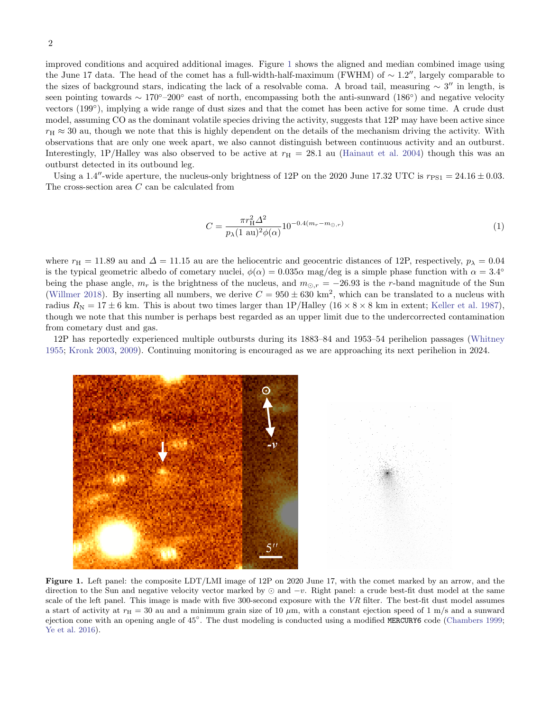improved conditions and acquired additional images. Figure [1](#page-1-0) shows the aligned and median combined image using the June 17 data. The head of the comet has a full-width-half-maximum (FWHM) of ~ 1.2", largely comparable to the sizes of background stars, indicating the lack of a resolvable coma. A broad tail, measuring  $\sim 3''$  in length, is seen pointing towards ~ 170°–200° east of north, encompassing both the anti-sunward (186°) and negative velocity vectors (199°), implying a wide range of dust sizes and that the comet has been active for some time. A crude dust model, assuming CO as the dominant volatile species driving the activity, suggests that 12P may have been active since  $r_H \approx 30$  au, though we note that this is highly dependent on the details of the mechanism driving the activity. With observations that are only one week apart, we also cannot distinguish between continuous activity and an outburst. Interestingly, 1P/Halley was also observed to be active at  $r_{\rm H} = 28.1$  au [\(Hainaut et al.](#page-2-12) [2004\)](#page-2-12) though this was an outburst detected in its outbound leg.

Using a 1.4"-wide aperture, the nucleus-only brightness of 12P on the 2020 June 17.32 UTC is  $r_{\text{PS1}} = 24.16 \pm 0.03$ . The cross-section area C can be calculated from

$$
C = \frac{\pi r_H^2 \Delta^2}{p_\lambda (1 \text{ au})^2 \phi(\alpha)} 10^{-0.4(m_r - m_{\odot}, r)} \tag{1}
$$

where  $r_H = 11.89$  au and  $\Delta = 11.15$  au are the heliocentric and geocentric distances of 12P, respectively,  $p_{\lambda} = 0.04$ is the typical geometric albedo of cometary nuclei,  $\phi(\alpha) = 0.035\alpha$  mag/deg is a simple phase function with  $\alpha = 3.4^{\circ}$ being the phase angle,  $m_r$  is the brightness of the nucleus, and  $m_{\odot,r} = -26.93$  is the r-band magnitude of the Sun [\(Willmer](#page-2-13) [2018\)](#page-2-13). By inserting all numbers, we derive  $C = 950 \pm 630$  km<sup>2</sup>, which can be translated to a nucleus with radius  $R_{\rm N} = 17 \pm 6$  km. This is about two times larger than 1P/Halley (16 × 8 × 8 km in extent; [Keller et al.](#page-2-14) [1987\)](#page-2-14), though we note that this number is perhaps best regarded as an upper limit due to the undercorrected contamination from cometary dust and gas.

12P has reportedly experienced multiple outbursts during its 1883–84 and 1953–54 perihelion passages [\(Whitney](#page-2-15) [1955;](#page-2-15) [Kronk](#page-2-16) [2003,](#page-2-16) [2009\)](#page-2-17). Continuing monitoring is encouraged as we are approaching its next perihelion in 2024.



<span id="page-1-0"></span>Figure 1. Left panel: the composite LDT/LMI image of 12P on 2020 June 17, with the comet marked by an arrow, and the direction to the Sun and negative velocity vector marked by  $\odot$  and  $-v$ . Right panel: a crude best-fit dust model at the same scale of the left panel. This image is made with five 300-second exposure with the VR filter. The best-fit dust model assumes a start of activity at  $r_H = 30$  au and a minimum grain size of 10  $\mu$ m, with a constant ejection speed of 1 m/s and a sunward ejection cone with an opening angle of  $45^{\circ}$ . The dust modeling is conducted using a modified MERCURY6 code [\(Chambers](#page-2-18) [1999;](#page-2-18) [Ye et al.](#page-2-19) [2016\)](#page-2-19).